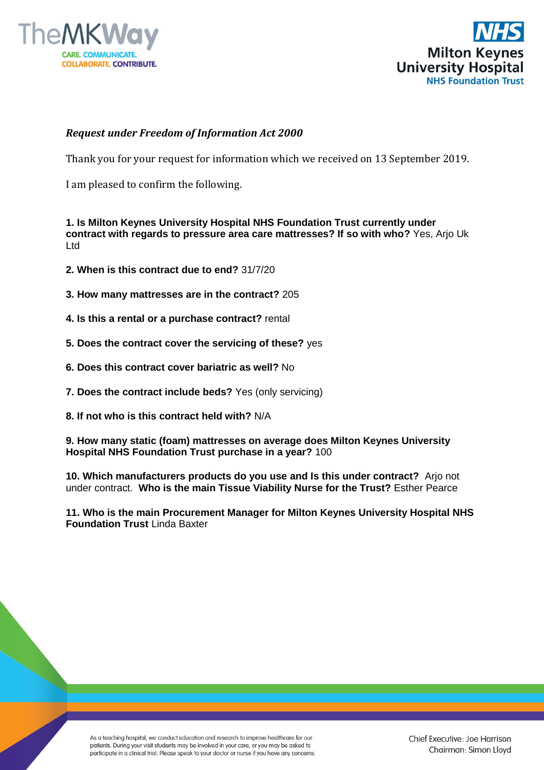



## *Request under Freedom of Information Act 2000*

Thank you for your request for information which we received on 13 September 2019.

I am pleased to confirm the following.

**1. Is Milton Keynes University Hospital NHS Foundation Trust currently under contract with regards to pressure area care mattresses? If so with who?** Yes, Arjo Uk Ltd

- **2. When is this contract due to end?** 31/7/20
- **3. How many mattresses are in the contract?** 205
- **4. Is this a rental or a purchase contract?** rental
- **5. Does the contract cover the servicing of these?** yes
- **6. Does this contract cover bariatric as well?** No
- **7. Does the contract include beds?** Yes (only servicing)
- **8. If not who is this contract held with?** N/A

**9. How many static (foam) mattresses on average does Milton Keynes University Hospital NHS Foundation Trust purchase in a year?** 100

**10. Which manufacturers products do you use and Is this under contract?** Arjo not under contract. **Who is the main Tissue Viability Nurse for the Trust?** Esther Pearce

**11. Who is the main Procurement Manager for Milton Keynes University Hospital NHS Foundation Trust Linda Baxter** 

As a teaching hospital, we conduct education and research to improve healthcare for our patients. During your visit students may be involved in your care, or you may be asked to participate in a clinical trial. Please speak to your doctor or nurse if you have any concerns.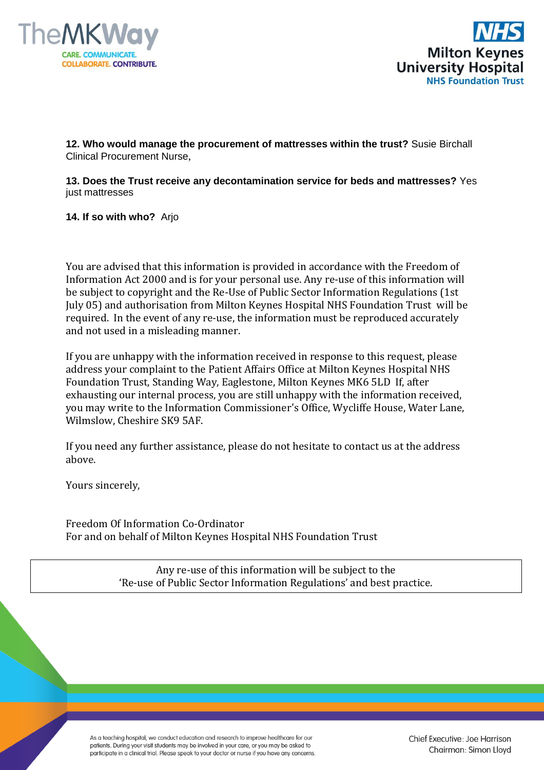



**12. Who would manage the procurement of mattresses within the trust?** Susie Birchall Clinical Procurement Nurse,

**13. Does the Trust receive any decontamination service for beds and mattresses?** Yes just mattresses

## **14. If so with who?** Arjo

You are advised that this information is provided in accordance with the Freedom of Information Act 2000 and is for your personal use. Any re-use of this information will be subject to copyright and the Re-Use of Public Sector Information Regulations (1st July 05) and authorisation from Milton Keynes Hospital NHS Foundation Trust will be required. In the event of any re-use, the information must be reproduced accurately and not used in a misleading manner.

If you are unhappy with the information received in response to this request, please address your complaint to the Patient Affairs Office at Milton Keynes Hospital NHS Foundation Trust, Standing Way, Eaglestone, Milton Keynes MK6 5LD If, after exhausting our internal process, you are still unhappy with the information received, you may write to the Information Commissioner's Office, Wycliffe House, Water Lane, Wilmslow, Cheshire SK9 5AF.

If you need any further assistance, please do not hesitate to contact us at the address above.

Yours sincerely,

Freedom Of Information Co-Ordinator For and on behalf of Milton Keynes Hospital NHS Foundation Trust

> Any re-use of this information will be subject to the 'Re-use of Public Sector Information Regulations' and best practice.

As a teaching hospital, we conduct education and research to improve healthcare for our patients. During your visit students may be involved in your care, or you may be asked to participate in a clinical trial. Please speak to your doctor or nurse if you have any concerns. Chief Executive: Joe Harrison Chairman: Simon Lloyd